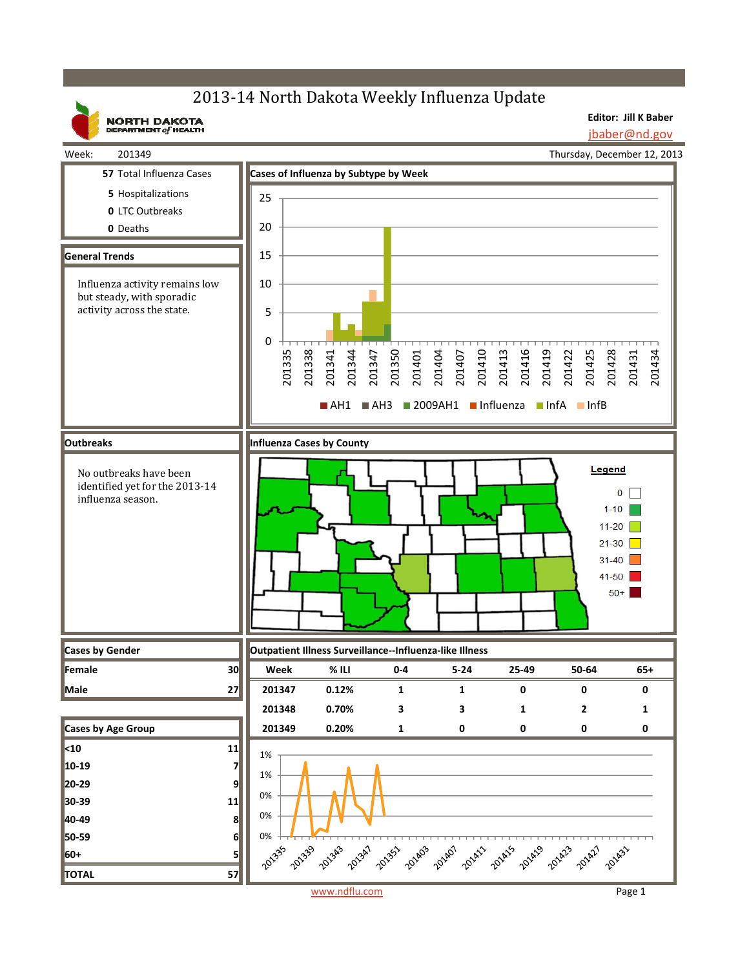## 2013-14 North Dakota Weekly Influenza Update

**Editor: Jill K Baber** jbaber@nd.gov